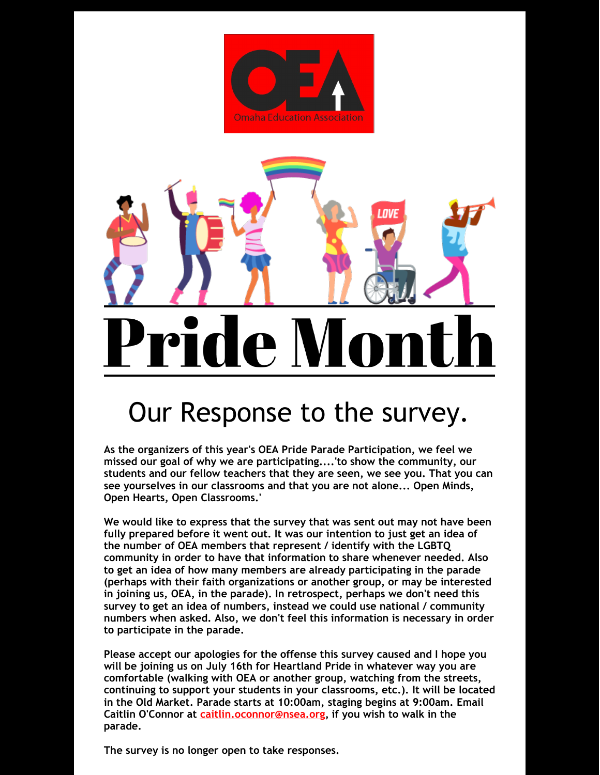



## Our Response to the survey.

**As the organizers of this year's OEA Pride Parade Participation, we feel we missed our goal of why we are participating....'to show the community, our students and our fellow teachers that they are seen, we see you. That you can see yourselves in our classrooms and that you are not alone... Open Minds, Open Hearts, Open Classrooms.'**

**We would like to express that the survey that was sent out may not have been fully prepared before it went out. It was our intention to just get an idea of the number of OEA members that represent / identify with the LGBTQ community in order to have that information to share whenever needed. Also to get an idea of how many members are already participating in the parade (perhaps with their faith organizations or another group, or may be interested in joining us, OEA, in the parade). In retrospect, perhaps we don't need this survey to get an idea of numbers, instead we could use national / community numbers when asked. Also, we don't feel this information is necessary in order to participate in the parade.**

**Please accept our apologies for the offense this survey caused and I hope you will be joining us on July 16th for Heartland Pride in whatever way you are comfortable (walking with OEA or another group, watching from the streets, continuing to support your students in your classrooms, etc.). It will be located in the Old Market. Parade starts at 10:00am, staging begins at 9:00am. Email Caitlin O'Connor at [caitlin.oconnor@nsea.org](mailto:caitlin.oconnor@nsea.org), if you wish to walk in the parade.**

**The survey is no longer open to take responses.**